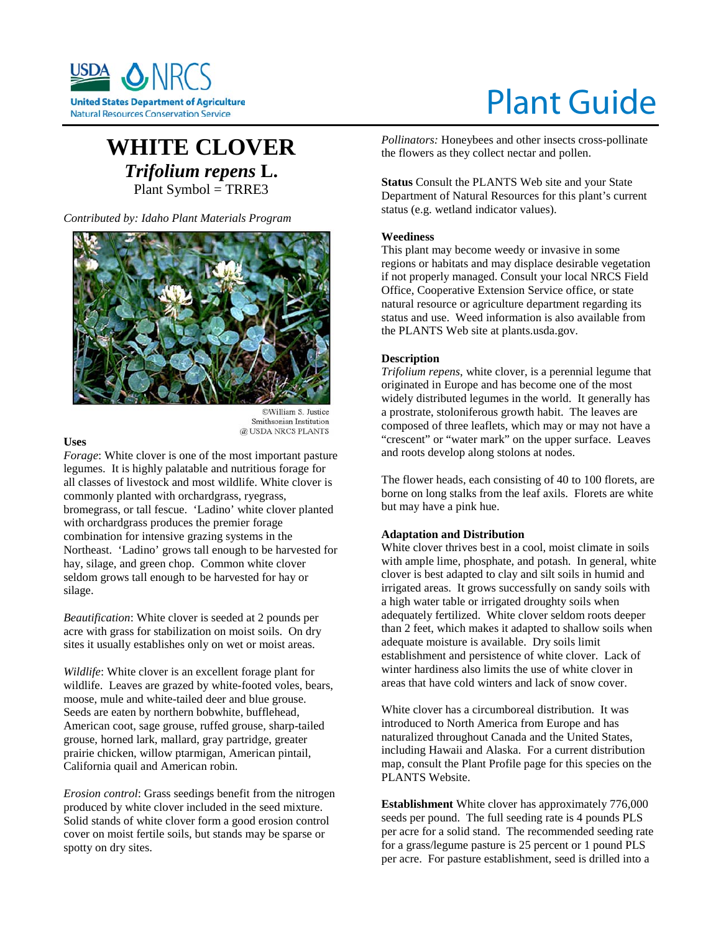

# Plant Guide

# **WHITE CLOVER** *Trifolium repens* **L.** Plant Symbol = TRRE3

*Contributed by: Idaho Plant Materials Program* 



©William S. Justice Smithsonian Institution @ USDA NRCS PLANTS

#### **Uses**

*Forage*: White clover is one of the most important pasture legumes. It is highly palatable and nutritious forage for all classes of livestock and most wildlife. White clover is commonly planted with orchardgrass, ryegrass, bromegrass, or tall fescue. 'Ladino' white clover planted with orchardgrass produces the premier forage combination for intensive grazing systems in the Northeast. 'Ladino' grows tall enough to be harvested for hay, silage, and green chop. Common white clover seldom grows tall enough to be harvested for hay or silage.

*Beautification*: White clover is seeded at 2 pounds per acre with grass for stabilization on moist soils. On dry sites it usually establishes only on wet or moist areas.

*Wildlife*: White clover is an excellent forage plant for wildlife. Leaves are grazed by white-footed voles, bears, moose, mule and white-tailed deer and blue grouse. Seeds are eaten by northern bobwhite, bufflehead, American coot, sage grouse, ruffed grouse, sharp-tailed grouse, horned lark, mallard, gray partridge, greater prairie chicken, willow ptarmigan, American pintail, California quail and American robin.

*Erosion control*: Grass seedings benefit from the nitrogen produced by white clover included in the seed mixture. Solid stands of white clover form a good erosion control cover on moist fertile soils, but stands may be sparse or spotty on dry sites.

*Pollinators:* Honeybees and other insects cross-pollinate the flowers as they collect nectar and pollen.

**Status** Consult the PLANTS Web site and your State Department of Natural Resources for this plant's current status (e.g. wetland indicator values).

# **Weediness**

This plant may become weedy or invasive in some regions or habitats and may displace desirable vegetation if not properly managed. Consult your local NRCS Field Office, Cooperative Extension Service office, or state natural resource or agriculture department regarding its status and use. Weed information is also available from the PLANTS Web site at plants.usda.gov.

## **Description**

*Trifolium repens*, white clover, is a perennial legume that originated in Europe and has become one of the most widely distributed legumes in the world. It generally has a prostrate, stoloniferous growth habit. The leaves are composed of three leaflets, which may or may not have a "crescent" or "water mark" on the upper surface. Leaves and roots develop along stolons at nodes.

The flower heads, each consisting of 40 to 100 florets, are borne on long stalks from the leaf axils. Florets are white but may have a pink hue.

## **Adaptation and Distribution**

White clover thrives best in a cool, moist climate in soils with ample lime, phosphate, and potash. In general, white clover is best adapted to clay and silt soils in humid and irrigated areas. It grows successfully on sandy soils with a high water table or irrigated droughty soils when adequately fertilized. White clover seldom roots deeper than 2 feet, which makes it adapted to shallow soils when adequate moisture is available. Dry soils limit establishment and persistence of white clover. Lack of winter hardiness also limits the use of white clover in areas that have cold winters and lack of snow cover.

White clover has a circumboreal distribution. It was introduced to North America from Europe and has naturalized throughout Canada and the United States, including Hawaii and Alaska. For a current distribution map, consult the Plant Profile page for this species on the PLANTS Website.

**Establishment** White clover has approximately 776,000 seeds per pound. The full seeding rate is 4 pounds PLS per acre for a solid stand. The recommended seeding rate for a grass/legume pasture is 25 percent or 1 pound PLS per acre. For pasture establishment, seed is drilled into a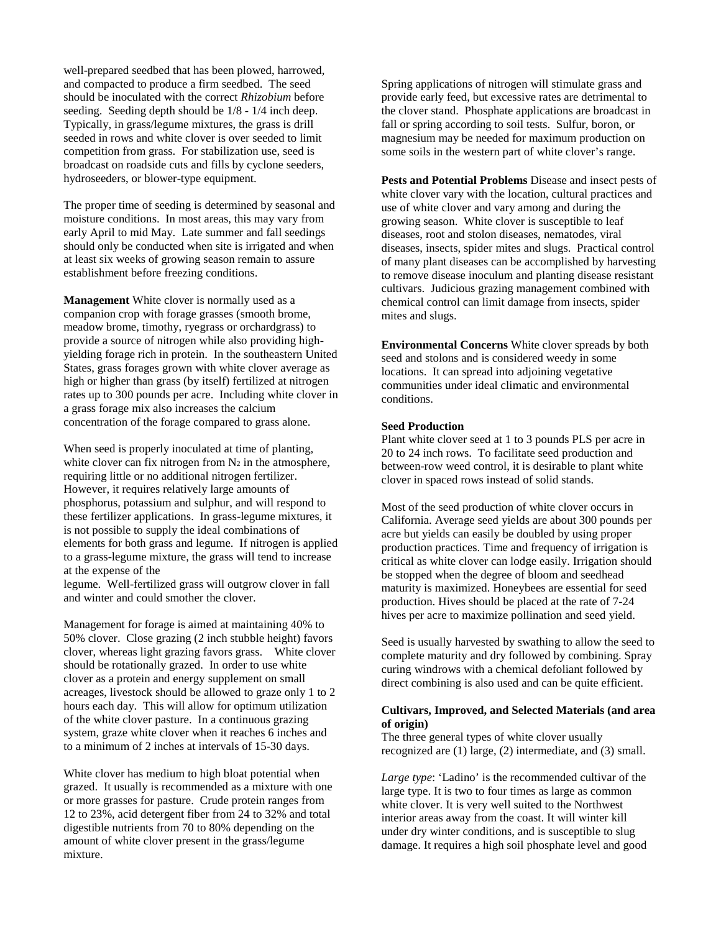well-prepared seedbed that has been plowed, harrowed, and compacted to produce a firm seedbed. The seed should be inoculated with the correct *Rhizobium* before seeding. Seeding depth should be 1/8 - 1/4 inch deep. Typically, in grass/legume mixtures, the grass is drill seeded in rows and white clover is over seeded to limit competition from grass. For stabilization use, seed is broadcast on roadside cuts and fills by cyclone seeders, hydroseeders, or blower-type equipment.

The proper time of seeding is determined by seasonal and moisture conditions. In most areas, this may vary from early April to mid May. Late summer and fall seedings should only be conducted when site is irrigated and when at least six weeks of growing season remain to assure establishment before freezing conditions.

**Management** White clover is normally used as a companion crop with forage grasses (smooth brome, meadow brome, timothy, ryegrass or orchardgrass) to provide a source of nitrogen while also providing highyielding forage rich in protein. In the southeastern United States, grass forages grown with white clover average as high or higher than grass (by itself) fertilized at nitrogen rates up to 300 pounds per acre. Including white clover in a grass forage mix also increases the calcium concentration of the forage compared to grass alone.

When seed is properly inoculated at time of planting, white clover can fix nitrogen from  $N_2$  in the atmosphere, requiring little or no additional nitrogen fertilizer. However, it requires relatively large amounts of phosphorus, potassium and sulphur, and will respond to these fertilizer applications. In grass-legume mixtures, it is not possible to supply the ideal combinations of elements for both grass and legume. If nitrogen is applied to a grass-legume mixture, the grass will tend to increase at the expense of the legume. Well-fertilized grass will outgrow clover in fall

and winter and could smother the clover.

Management for forage is aimed at maintaining 40% to 50% clover. Close grazing (2 inch stubble height) favors clover, whereas light grazing favors grass. White clover should be rotationally grazed. In order to use white clover as a protein and energy supplement on small acreages, livestock should be allowed to graze only 1 to 2 hours each day. This will allow for optimum utilization of the white clover pasture. In a continuous grazing system, graze white clover when it reaches 6 inches and to a minimum of 2 inches at intervals of 15-30 days.

White clover has medium to high bloat potential when grazed. It usually is recommended as a mixture with one or more grasses for pasture. Crude protein ranges from 12 to 23%, acid detergent fiber from 24 to 32% and total digestible nutrients from 70 to 80% depending on the amount of white clover present in the grass/legume mixture.

Spring applications of nitrogen will stimulate grass and provide early feed, but excessive rates are detrimental to the clover stand. Phosphate applications are broadcast in fall or spring according to soil tests. Sulfur, boron, or magnesium may be needed for maximum production on some soils in the western part of white clover's range.

**Pests and Potential Problems** Disease and insect pests of white clover vary with the location, cultural practices and use of white clover and vary among and during the growing season. White clover is susceptible to leaf diseases, root and stolon diseases, nematodes, viral diseases, insects, spider mites and slugs. Practical control of many plant diseases can be accomplished by harvesting to remove disease inoculum and planting disease resistant cultivars. Judicious grazing management combined with chemical control can limit damage from insects, spider mites and slugs.

**Environmental Concerns** White clover spreads by both seed and stolons and is considered weedy in some locations. It can spread into adjoining vegetative communities under ideal climatic and environmental conditions.

#### **Seed Production**

Plant white clover seed at 1 to 3 pounds PLS per acre in 20 to 24 inch rows. To facilitate seed production and between-row weed control, it is desirable to plant white clover in spaced rows instead of solid stands.

Most of the seed production of white clover occurs in California. Average seed yields are about 300 pounds per acre but yields can easily be doubled by using proper production practices. Time and frequency of irrigation is critical as white clover can lodge easily. Irrigation should be stopped when the degree of bloom and seedhead maturity is maximized. Honeybees are essential for seed production. Hives should be placed at the rate of 7-24 hives per acre to maximize pollination and seed yield.

Seed is usually harvested by swathing to allow the seed to complete maturity and dry followed by combining. Spray curing windrows with a chemical defoliant followed by direct combining is also used and can be quite efficient.

#### **Cultivars, Improved, and Selected Materials (and area of origin)**

The three general types of white clover usually recognized are (1) large, (2) intermediate, and (3) small.

*Large type*: 'Ladino' is the recommended cultivar of the large type. It is two to four times as large as common white clover. It is very well suited to the Northwest interior areas away from the coast. It will winter kill under dry winter conditions, and is susceptible to slug damage. It requires a high soil phosphate level and good